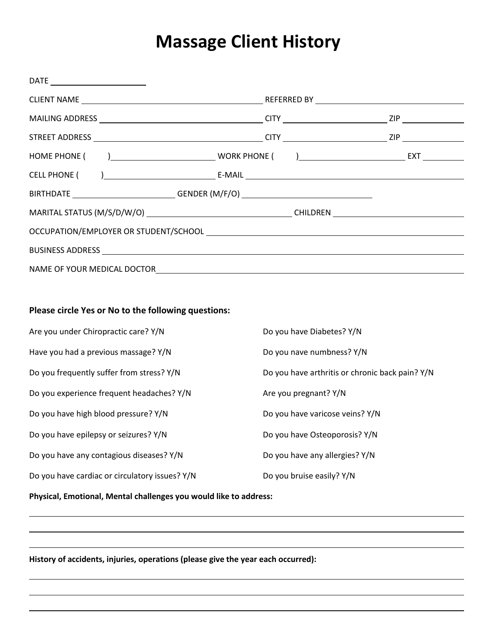## **Massage Client History**

| BIRTHDATE ____________________________GENDER (M/F/O) ___________________________ |                           |                                                 |  |
|----------------------------------------------------------------------------------|---------------------------|-------------------------------------------------|--|
|                                                                                  |                           |                                                 |  |
|                                                                                  |                           |                                                 |  |
|                                                                                  |                           |                                                 |  |
|                                                                                  |                           |                                                 |  |
|                                                                                  |                           |                                                 |  |
| Please circle Yes or No to the following questions:                              |                           |                                                 |  |
| Are you under Chiropractic care? Y/N                                             | Do you have Diabetes? Y/N |                                                 |  |
| Have you had a previous massage? Y/N                                             |                           | Do you nave numbness? Y/N                       |  |
| Do you frequently suffer from stress? Y/N                                        |                           | Do you have arthritis or chronic back pain? Y/N |  |
| Do you experience frequent headaches? Y/N                                        |                           | Are you pregnant? Y/N                           |  |
| Do you have high blood pressure? Y/N                                             |                           | Do you have varicose veins? Y/N                 |  |
| Do you have epilepsy or seizures? Y/N                                            |                           | Do you have Osteoporosis? Y/N                   |  |
| Do you have any contagious diseases? Y/N                                         |                           | Do you have any allergies? Y/N                  |  |
| Do you have cardiac or circulatory issues? Y/N                                   | Do you bruise easily? Y/N |                                                 |  |
| Physical, Emotional, Mental challenges you would like to address:                |                           |                                                 |  |

**History of accidents, injuries, operations (please give the year each occurred):**